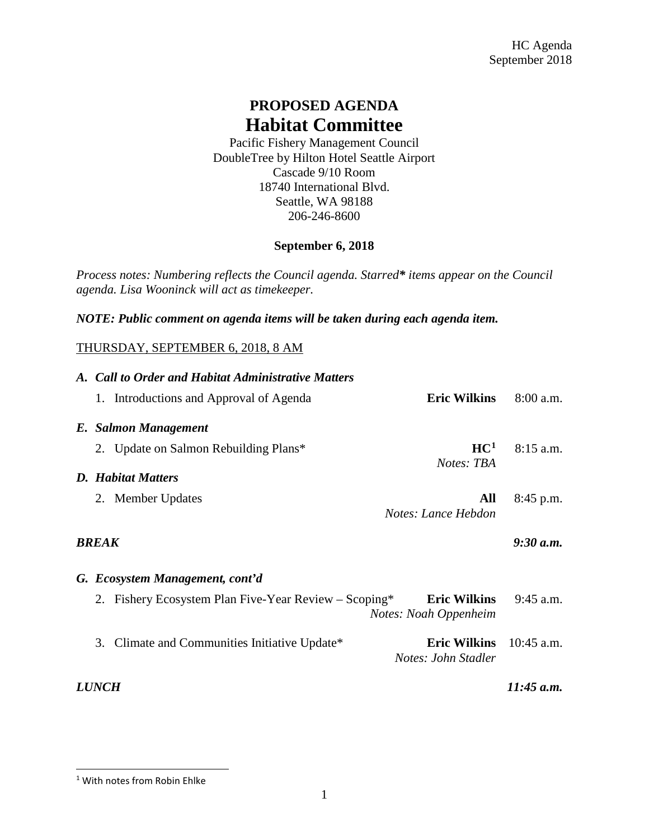## **PROPOSED AGENDA Habitat Committee**

Pacific Fishery Management Council DoubleTree by Hilton Hotel Seattle Airport Cascade 9/10 Room 18740 International Blvd. Seattle, WA 98188 206-246-8600

## **September 6, 2018**

*Process notes: Numbering reflects the Council agenda. Starred\* items appear on the Council agenda. Lisa Wooninck will act as timekeeper.*

*NOTE: Public comment on agenda items will be taken during each agenda item.*

## THURSDAY, SEPTEMBER 6, 2018, 8 AM

|                            |                                 | A. Call to Order and Habitat Administrative Matters   |                                              |              |  |  |
|----------------------------|---------------------------------|-------------------------------------------------------|----------------------------------------------|--------------|--|--|
|                            |                                 | 1. Introductions and Approval of Agenda               | <b>Eric Wilkins</b>                          | $8:00$ a.m.  |  |  |
|                            |                                 | E. Salmon Management                                  |                                              |              |  |  |
|                            |                                 | 2. Update on Salmon Rebuilding Plans*                 | HC <sup>1</sup>                              | $8:15$ a.m.  |  |  |
|                            |                                 | <b>D.</b> Habitat Matters                             | Notes: TBA                                   |              |  |  |
|                            |                                 | 2. Member Updates                                     | All<br>Notes: Lance Hebdon                   | $8:45$ p.m.  |  |  |
|                            |                                 |                                                       |                                              |              |  |  |
| 9:30 a.m.<br><b>BREAK</b>  |                                 |                                                       |                                              |              |  |  |
|                            | G. Ecosystem Management, cont'd |                                                       |                                              |              |  |  |
|                            |                                 | 2. Fishery Ecosystem Plan Five-Year Review – Scoping* | <b>Eric Wilkins</b><br>Notes: Noah Oppenheim | $9:45$ a.m.  |  |  |
|                            |                                 | 3. Climate and Communities Initiative Update*         | <b>Eric Wilkins</b><br>Notes: John Stadler   | $10:45$ a.m. |  |  |
| 11:45 a.m.<br><i>LUNCH</i> |                                 |                                                       |                                              |              |  |  |

<span id="page-0-0"></span> <sup>1</sup> With notes from Robin Ehlke